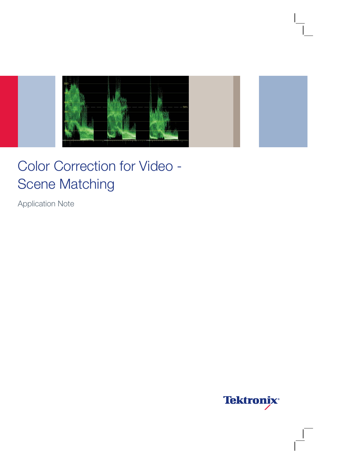

# Color Correction for Video - Scene Matching

Application Note

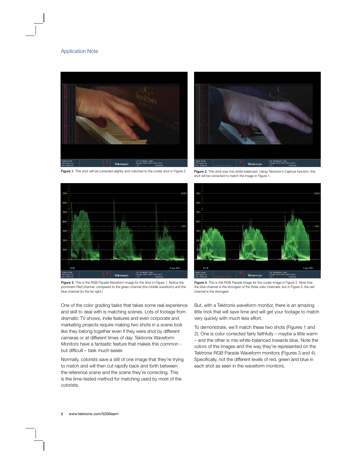## Application Note



Figure 1. This shot will be corrected slightly and matched to the cooler shot in Figure 2.



Figure 3. This is the RGB Parade Waveform image for the shot in Figure 1. Notice the prominent Red channel, compared to the green channel (the middle waveform) and the blue channel (to the far right.)

One of the color grading tasks that takes some real experience and skill to deal with is matching scenes. Lots of footage from dramatic TV shows, indie features and even corporate and marketing projects require making two shots in a scene look like they belong together even if they were shot by different cameras or at different times of day. Tektronix Waveform Monitors have a fantastic feature that makes this common but difficult – task much easier.

Normally, colorists save a still of one image that they're trying to match and will then cut rapidly back and forth between the reference scene and the scene they're correcting. This is the time-tested method for matching used by most of the colorists.



Figure 2. This shot was mis-white-balanced. Using Tektronix's Capture function, this shot will be corrected to match the image in Figure 1.



Figure 4. This is the RGB Parade image for the cooler image in Figure 2. Note that the blue channel is the strongest of the three color channels, but in Figure 3, the red channel is the strongest.

But, with a Tektronix waveform monitor, there is an amazing little trick that will save time and will get your footage to match very quickly with much less effort.

To demonstrate, we'll match these two shots (Figures 1 and 2). One is color corrected fairly faithfully – maybe a little warm – and the other is mis-white-balanced towards blue. Note the colors of the images and the way they're represented on the Tektronix RGB Parade Waveform monitors (Figures 3 and 4). Specifically, not the different levels of red, green and blue in each shot as seen in the waveform monitors.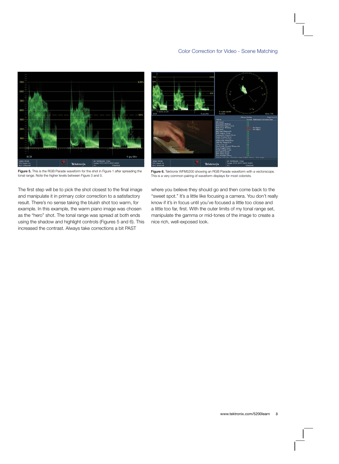

Figure 5. This is the RGB Parade waveform for the shot in Figure 1 after spreading the tonal range. Note the higher levels between Figure 3 and 5.

The first step will be to pick the shot closest to the final image and manipulate it in primary color correction to a satisfactory result. There's no sense taking the bluish shot too warm, for example. In this example, the warm piano image was chosen as the "hero" shot. The tonal range was spread at both ends using the shadow and highlight controls (Figures 5 and 6). This increased the contrast. Always take corrections a bit PAST



Figure 6. Tektronix WFM5200 showing an RGB Parade waveform with a vectorscope. This is a very common pairing of waveform displays for most colorists.

where you believe they should go and then come back to the "sweet spot." It's a little like focusing a camera. You don't really know if it's in focus until you've focused a little too close and a little too far, first. With the outer limits of my tonal range set, manipulate the gamma or mid-tones of the image to create a nice rich, well-exposed look.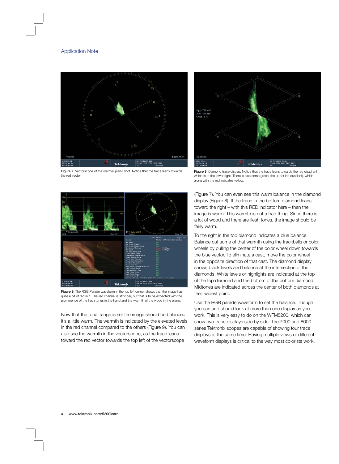

Figure 7. Vectorscope of the warmer piano shot. Notice that the trace leans towards the red vector.



Figure 8. Diamond trace display. Notice that the trace leans towards the red quadrant which is to the lower right. There is also some green (the upper left quadant), which along with the red indicates yellow.



Figure 9. The RGB Parade waveform in the top left corner shows that the image has quite a bit of red in it. The red channel is stronger, but that is to be expected with the prominence of the flesh tones in the hand and the warmth of the wood in the piano.

Now that the tonal range is set the image should be balanced. It's a little warm. The warmth is indicated by the elevated levels in the red channel compared to the others (Figure 9). You can also see the warmth in the vectorscope, as the trace leans toward the red vector towards the top left of the vectorscope

(Figure 7). You can even see this warm balance in the diamond display (Figure 8). If the trace in the bottom diamond leans toward the right – with this RED indicator here – then the image is warm. This warmth is not a bad thing. Since there is a lot of wood and there are flesh tones, the image should be fairly warm.

To the right in the top diamond indicates a blue balance. Balance out some of that warmth using the trackballs or color wheels by pulling the center of the color wheel down towards the blue vector. To eliminate a cast, move the color wheel in the opposite direction of that cast. The diamond display shows black levels and balance at the intersection of the diamonds. White levels or highlights are indicated at the top of the top diamond and the bottom of the bottom diamond. Midtones are indicated across the center of both diamonds at their widest point.

Use the RGB parade waveform to set the balance. Though you can and should look at more than one display as you work. This is very easy to do on the WFM5200, which can show two trace displays side by side. The 7000 and 8000 series Tektronix scopes are capable of showing four trace displays at the same time. Having multiple views of different waveform displays is critical to the way most colorists work.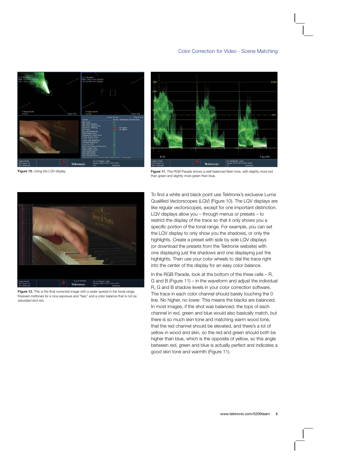



Figure 10. Using the LQV display.

Figure 11. This RGB Parade shows a well-balanced flesh tone, with slightly more red than green and slightly more green than blue.



Figure 12. This is the final corrected image with a wider spread in the tonal range, finessed midtones for a nice exposure and "feel," and a color balance that is not as saturated and red.

To find a white and black point use Tektronix's exclusive Luma Qualified Vectorscopes (LQV) (Figure 10). The LQV displays are like regular vectorscopes, except for one important distinction. LQV displays allow you – through menus or presets – to restrict the display of the trace so that it only shows you a specific portion of the tonal range. For example, you can set the LQV display to only show you the shadows, or only the highlights. Create a preset with side by side LQV displays (or download the presets from the Tektronix website) with one displaying just the shadows and one displaying just the highlights. Then use your color wheels to dial the trace right into the center of the display for an easy color balance.

In the RGB Parade, look at the bottom of the three cells – R, G and B (Figure 11) – in the waveform and adjust the individual R, G and B shadow levels in your color correction software. The trace in each color channel should barely touching the 0 line. No higher, no lower. This means the blacks are balanced. In most images, if the shot was balanced, the tops of each channel in red, green and blue would also basically match, but there is so much skin tone and matching warm wood tone, that the red channel should be elevated, and there's a lot of yellow in wood and skin, so the red and green should both be higher than blue, which is the opposite of yellow, so this angle between red, green and blue is actually perfect and indicates a good skin tone and warmth (Figure 11).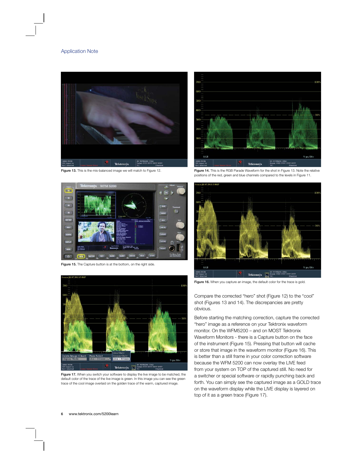

Figure 13. This is the mis-balanced image we will match to Figure 12.



Figure 15. The Capture button is at the bottom, on the right side.



Figure 17. When you switch your software to display the live image to be matched, the default color of the trace of the live image is green. In this image you can see the green trace of the cool image overlaid on the golden trace of the warm, captured image.



Figure 14. This is the RGB Parade Waveform for the shot in Figure 13. Note the relative positions of the red, green and blue channels compared to the levels in Figure 11.



Figure 16. When you capture an image, the default color for the trace is gold.

Compare the corrected "hero" shot (Figure 12) to the "cool" shot (Figures 13 and 14). The discrepancies are pretty obvious.

Before starting the matching correction, capture the corrected "hero" image as a reference on your Tektronix waveform monitor. On the WFM5200 – and on MOST Tektronix Waveform Monitors - there is a Capture button on the face of the instrument (Figure 15). Pressing that button will cache or store that image in the waveform monitor (Figure 16). This is better than a still frame in your color correction software because the WFM 5200 can now overlay the LIVE feed from your system on TOP of the captured still. No need for a switcher or special software or rapidly punching back and forth. You can simply see the captured image as a GOLD trace on the waveform display while the LIVE display is layered on top of it as a green trace (Figure 17).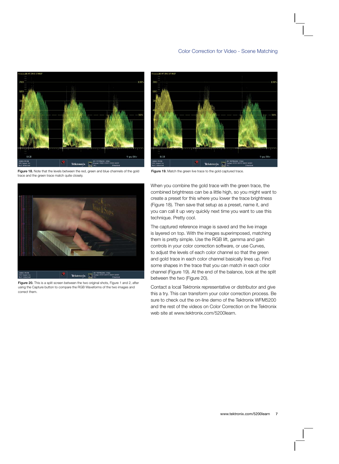

Figure 18. Note that the levels between the red, green and blue channels of the gold trace and the green trace match quite closely.



Figure 20. This is a split screen between the two original shots, Figure 1 and 2, after using the Capture button to compare the RGB Waveforms of the two images and correct them.



Figure 19. Match the green live trace to the gold captured trace.

When you combine the gold trace with the green trace, the combined brightness can be a little high, so you might want to create a preset for this where you lower the trace brightness (Figure 18). Then save that setup as a preset, name it, and you can call it up very quickly next time you want to use this technique. Pretty cool.

The captured reference image is saved and the live image is layered on top. With the images superimposed, matching them is pretty simple. Use the RGB lift, gamma and gain controls in your color correction software, or use Curves, to adjust the levels of each color channel so that the green and gold trace in each color channel basically lines up. Find some shapes in the trace that you can match in each color channel (Figure 19). At the end of the balance, look at the split between the two (Figure 20).

Contact a local Tektronix representative or distributor and give this a try. This can transform your color correction process. Be sure to check out the on-line demo of the Tektronix WFM5200 and the rest of the videos on Color Correction on the Tektronix web site at www.tektronix.com/5200learn.